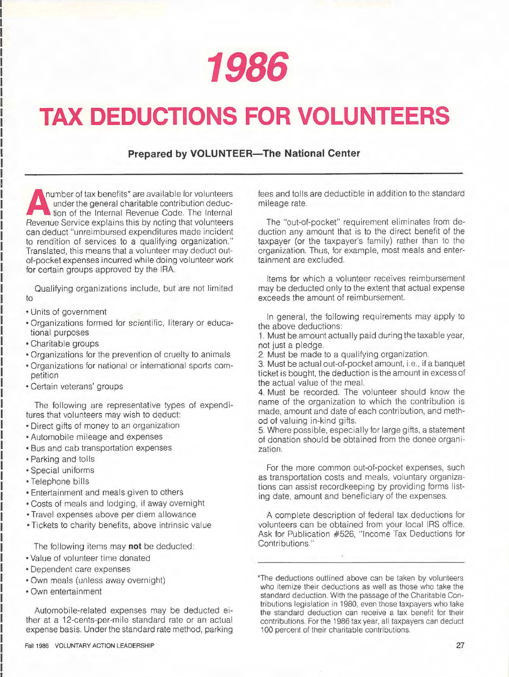**1986** 

## **TAX DEDUCTIONS FOR VOLUNTEERS**

## **Prepared by VOLUNTEER-The National Center**

can deduct differmodised experidities made incident<br>to rendition of services to a qualifying organization." umber of tax benefits\* are available for volunteers under the general charitable contribution deduction of the Internal Revenue Code. The Internal Revenue Service explains this by noting that volunteers can deduct "unreimbursed expenditures made incident Translated, this means that a volunteer may deduct outof-pocket expenses incurred while doing volunteer work for certain groups approved by the IRA.

Qualifying organizations include, but are not limited to

• Units of government

I

- Organizations formed for scientific, literary or educational purposes
- Charitable groups
- Organizations for the prevention of cruelty to animals
- Organizations for national or international sports competition
- Certain veterans' groups

The following are representative types of expenditures that volunteers may wish to deduct:

- Direct gifts of money to an organization
- Automobile mileage and expenses
- Bus and cab transportation expenses
- Parking and tolls
- Special uniforms
- Telephone bills
- Entertainment and meals given to others
- Costs of meals and lodging, if away overnight
- Travel expenses above per diem allowance
- Tickets to charity benefits, above intrinsic value

The following items may **not** be deducted:

- Value of volunteer time donated
- Dependent care expenses
- Own meals (unless away overnight)
- Own entertainment

Automobile-related expenses may be deducted either at a 12-cents-per-mile standard rate or an actual expense basis. Under the standard rate method, parking

fees and tolls are deductible in addition to the standard mileage rate.

The "out-of-pocket" requirement eliminates from deduction any amount that is to the direct benefit of the taxpayer (or the taxpayer's family) rather than to the organization. Thus, for example, most meals and entertainment are excluded.

Items for which a volunteer receives reimbursement may be deducted only to the extent that actual expense exceeds the amount of reimbursement.

In general, the following requirements may apply to the above deductions:

1. Must be amount actually paid during the taxable year, not just a pledge.

2. Must be made to a qualifying organization.

3. Must be actual out-of-pocket amount, i.e., if a banquet ticket is bought, the deduction is the amount in excess of the actual value of the meal.

4. Must be recorded. The volunteer should know the name of the organization to which the contribution is made, amount and date of each contribution, and method of valuing in-kind gifts.

5. Where possible, especially for large gifts, a statement of donation should be obtained from the donee organization.

For the more common out-of-pocket expenses, such as transportation costs and meals, voluntary organizations can assist recordkeeping by providing forms listing date, amount and beneficiary of the expenses.

A complete description of federal tax deductions for volunteers can be obtained from your local IRS office. Ask for Publication #526, "Income Tax Deductions for Contributions."

\*The deductions outlined above can be taken by volunteers who itemize their deductions as well as those who take the standard deduction. With the passage of the Charitable Contributions legislation in 1980, even those taxpayers who take the standard deduction can receive a tax benefit for their contributions. For the 1986 tax year, all taxpayers can deduct 100 percent of their charitable contributions.